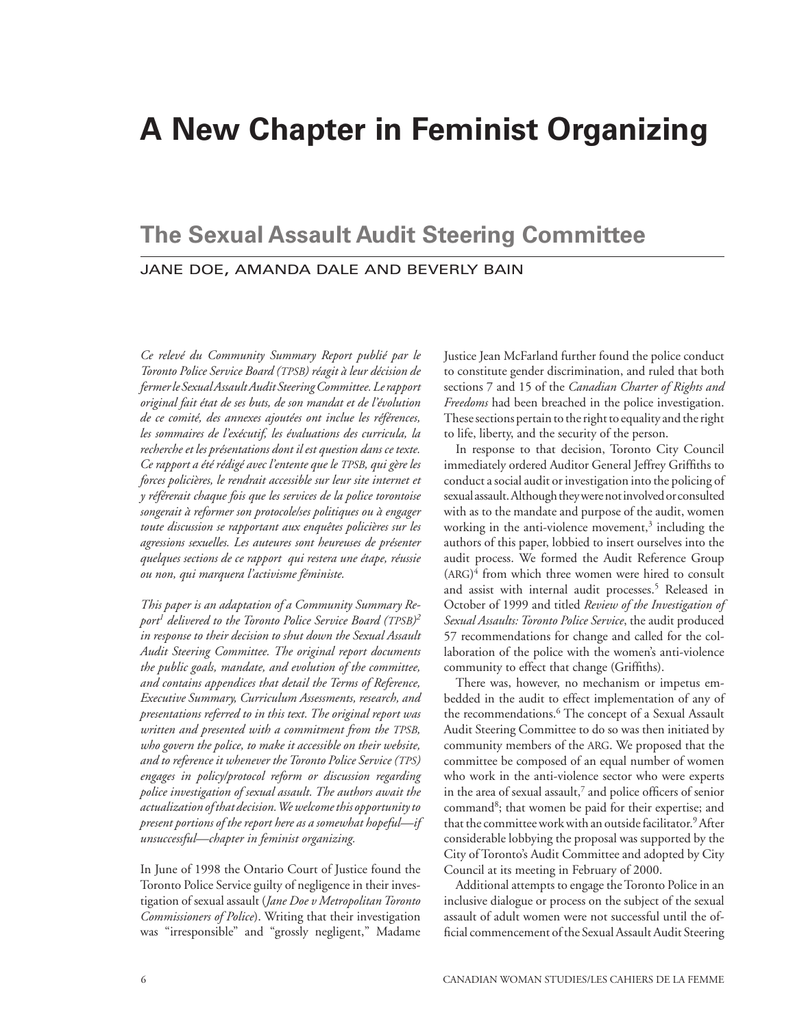# **A New Chapter in Feminist Organizing**

## jane doe, amanda dale and beverly bain **The Sexual Assault Audit Steering Committee**

*Ce relevé du Community Summary Report publié par le Toronto Police Service Board (tpsb) réagit à leur décision de fermerleSexualAssaultAuditSteeringCommittee.Lerapport original fait état de ses buts, de son mandat et de l'évolution de ce comité, des annexes ajoutées ont inclue les références, les sommaires de l'exécutif, les évaluations des curricula, la recherche et les présentations dont il est question dans ce texte. Ce rapport a été rédigé avec l'entente que le tpsb, qui gère les forces policières, le rendrait accessible sur leur site internet et y référerait chaque fois que les services de la police torontoise songerait à reformer son protocole/ses politiques ou à engager toute discussion se rapportant aux enquêtes policières sur les agressions sexuelles. Les auteures sont heureuses de présenter quelques sections de ce rapport qui restera une étape, réussie ou non, qui marquera l'activisme féministe.*

*This paper is an adaptation of a Community Summary Report1 delivered to the Toronto Police Service Board (tpsb) 2 in response to their decision to shut down the Sexual Assault Audit Steering Committee. The original report documents the public goals, mandate, and evolution of the committee, and contains appendices that detail the Terms of Reference, Executive Summary, Curriculum Assessments, research, and presentations referred to in this text. The original report was written and presented with a commitment from the tpsb, who govern the police, to make it accessible on their website, and to reference it whenever theToronto Police Service (tps) engages in policy/protocol reform or discussion regarding police investigation of sexual assault. The authors await the actualization ofthat decision.Wewelcomethis opportunityto present portions of the report here as a somewhat hopeful—if unsuccessful—chapter in feminist organizing.*

In June of 1998 the Ontario Court of Justice found the Toronto Police Service guilty of negligence in their investigation of sexual assault (*Jane Doe v MetropolitanToronto Commissioners of Police*). Writing that their investigation was "irresponsible" and "grossly negligent," Madame

Justice Jean McFarland further found the police conduct to constitute gender discrimination, and ruled that both sections 7 and 15 of the *Canadian Charter of Rights and Freedoms* had been breached in the police investigation. These sections pertain to the right to equality and the right to life, liberty, and the security of the person.

In response to that decision, Toronto City Council immediately ordered Auditor General Jeffrey Griffiths to conduct a social audit or investigation into the policing of sexual assault. Although they were not involved or consulted with as to the mandate and purpose of the audit, women working in the anti-violence movement,<sup>3</sup> including the authors of this paper, lobbied to insert ourselves into the audit process. We formed the Audit Reference Group (arg) 4 from which three women were hired to consult and assist with internal audit processes.5 Released in October of 1999 and titled *Review of the Investigation of Sexual Assaults: Toronto Police Service*, the audit produced 57 recommendations for change and called for the collaboration of the police with the women's anti-violence community to effect that change (Griffiths).

There was, however, no mechanism or impetus embedded in the audit to effect implementation of any of the recommendations.6 The concept of a Sexual Assault Audit Steering Committee to do so was then initiated by community members of the ARG. We proposed that the committee be composed of an equal number of women who work in the anti-violence sector who were experts in the area of sexual assault,<sup>7</sup> and police officers of senior command<sup>8</sup>; that women be paid for their expertise; and that the committee work with an outside facilitator.9 After considerable lobbying the proposal was supported by the City of Toronto's Audit Committee and adopted by City Council at its meeting in February of 2000.

Additional attempts to engage the Toronto Police in an inclusive dialogue or process on the subject of the sexual assault of adult women were not successful until the official commencement of the Sexual Assault Audit Steering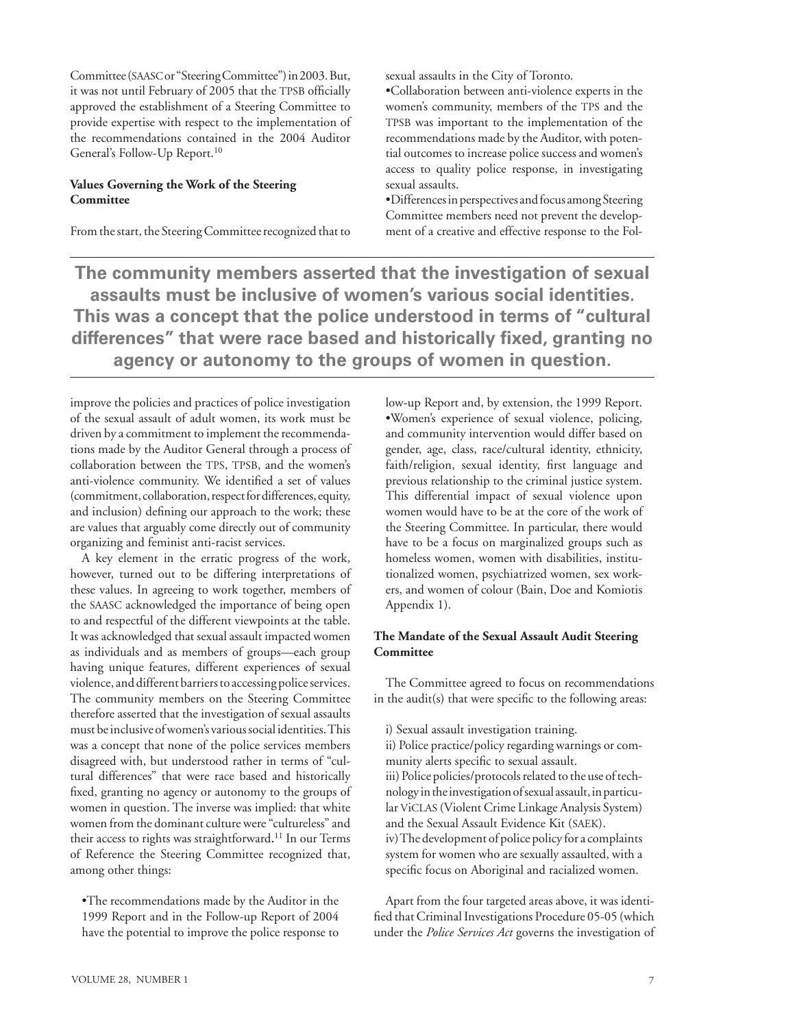Committee (saascor "Steering Committee") in 2003. But, it was not until February of 2005 that the TPSB officially approved the establishment of a Steering Committee to provide expertise with respect to the implementation of the recommendations contained in the 2004 Auditor General's Follow-Up Report.10

## **Values Governing the Work of the Steering Committee**

From the start, the Steering Committee recognized that to

sexual assaults in the City of Toronto.

•Collaboration between anti-violence experts in the women's community, members of the TPS and the TPSB was important to the implementation of the recommendations made by the Auditor, with potential outcomes to increase police success and women's access to quality police response, in investigating sexual assaults.

•Differences in perspectives and focus among Steering Committee members need not prevent the development of a creative and effective response to the Fol-

**The community members asserted that the investigation of sexual assaults must be inclusive of women's various social identities. This was a concept that the police understood in terms of "cultural differences" that were race based and historically fixed, granting no agency or autonomy to the groups of women in question.**

improve the policies and practices of police investigation of the sexual assault of adult women, its work must be driven by a commitment to implement the recommendations made by the Auditor General through a process of collaboration between the TPS, TPSB, and the women's anti-violence community. We identified a set of values (commitment, collaboration, respect for differences, equity, and inclusion) defining our approach to the work; these are values that arguably come directly out of community organizing and feminist anti-racist services.

A key element in the erratic progress of the work, however, turned out to be differing interpretations of these values. In agreeing to work together, members of the SAASC acknowledged the importance of being open to and respectful of the different viewpoints at the table. It was acknowledged that sexual assault impacted women as individuals and as members of groups—each group having unique features, different experiences of sexual violence, and different barriers to accessing police services. The community members on the Steering Committee therefore asserted that the investigation of sexual assaults must be inclusive of women's various social identities. This was a concept that none of the police services members disagreed with, but understood rather in terms of "cultural differences" that were race based and historically fixed, granting no agency or autonomy to the groups of women in question. The inverse was implied: that white women from the dominant culture were "cultureless" and their access to rights was straightforward**.** 11 In our Terms of Reference the Steering Committee recognized that, among other things:

•The recommendations made by the Auditor in the 1999 Report and in the Follow-up Report of 2004 have the potential to improve the police response to

low-up Report and, by extension, the 1999 Report. •Women's experience of sexual violence, policing, and community intervention would differ based on gender, age, class, race/cultural identity, ethnicity, faith/religion, sexual identity, first language and previous relationship to the criminal justice system. This differential impact of sexual violence upon women would have to be at the core of the work of the Steering Committee. In particular, there would have to be a focus on marginalized groups such as homeless women, women with disabilities, institutionalized women, psychiatrized women, sex workers, and women of colour (Bain, Doe and Komiotis Appendix 1).

## **The Mandate of the Sexual Assault Audit Steering Committee**

The Committee agreed to focus on recommendations in the audit(s) that were specific to the following areas:

i) Sexual assault investigation training.

ii) Police practice/policy regarding warnings or community alerts specific to sexual assault. iii) Police policies/protocols related to the use of technology in the investigation of sexual assault, in particular viclas (Violent Crime Linkage Analysis System) and the Sexual Assault Evidence Kit (saek). iv) The development of police policy for a complaints system for women who are sexually assaulted, with a specific focus on Aboriginal and racialized women.

Apart from the four targeted areas above, it was identified that Criminal Investigations Procedure 05-05 (which under the *Police Services Act* governs the investigation of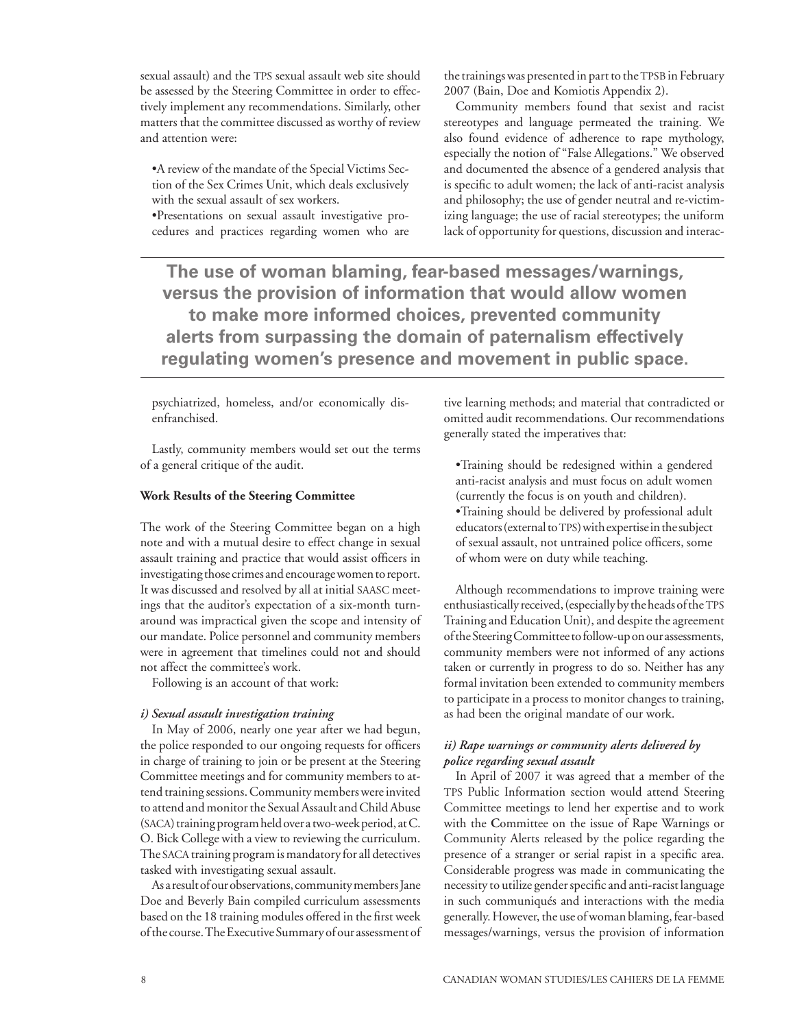sexual assault) and the TPS sexual assault web site should be assessed by the Steering Committee in order to effectively implement any recommendations. Similarly, other matters that the committee discussed as worthy of review and attention were:

•A review of the mandate of the Special Victims Section of the Sex Crimes Unit, which deals exclusively with the sexual assault of sex workers.

•Presentations on sexual assault investigative procedures and practices regarding women who are the trainings was presented in part to the TPSB in February 2007 (Bain, Doe and Komiotis Appendix 2).

Community members found that sexist and racist stereotypes and language permeated the training. We also found evidence of adherence to rape mythology, especially the notion of "False Allegations." We observed and documented the absence of a gendered analysis that is specific to adult women; the lack of anti-racist analysis and philosophy; the use of gender neutral and re-victimizing language; the use of racial stereotypes; the uniform lack of opportunity for questions, discussion and interac-

**The use of woman blaming, fear-based messages/warnings, versus the provision of information that would allow women to make more informed choices, prevented community alerts from surpassing the domain of paternalism effectively regulating women's presence and movement in public space.** 

psychiatrized, homeless, and/or economically disenfranchised.

Lastly, community members would set out the terms of a general critique of the audit.

#### **Work Results of the Steering Committee**

The work of the Steering Committee began on a high note and with a mutual desire to effect change in sexual assault training and practice that would assist officers in investigating those crimes and encourage women to report. It was discussed and resolved by all at initial SAASC meetings that the auditor's expectation of a six-month turnaround was impractical given the scope and intensity of our mandate. Police personnel and community members were in agreement that timelines could not and should not affect the committee's work.

Following is an account of that work:

#### *i) Sexual assault investigation training*

In May of 2006, nearly one year after we had begun, the police responded to our ongoing requests for officers in charge of training to join or be present at the Steering Committee meetings and for community members to attend training sessions. Community members were invited to attend and monitor the Sexual Assault and Child Abuse (saca) training program held over a two-week period, at C. O. Bick College with a view to reviewing the curriculum. The SACA training program is mandatory for all detectives tasked with investigating sexual assault.

As a result of our observations, community members Jane Doe and Beverly Bain compiled curriculum assessments based on the 18 training modules offered in the first week of the course. The Executive Summary of our assessment of tive learning methods; and material that contradicted or omitted audit recommendations. Our recommendations generally stated the imperatives that:

•Training should be redesigned within a gendered anti-racist analysis and must focus on adult women (currently the focus is on youth and children).

•Training should be delivered by professional adult educators (external to TPS) with expertise in the subject of sexual assault, not untrained police officers, some of whom were on duty while teaching.

Although recommendations to improve training were enthusiastically received, (especially by the heads of the TPS Training and Education Unit), and despite the agreement of the Steering Committee to follow-up on our assessments, community members were not informed of any actions taken or currently in progress to do so. Neither has any formal invitation been extended to community members to participate in a process to monitor changes to training, as had been the original mandate of our work.

## *ii) Rape warnings or community alerts delivered by police regarding sexual assault*

In April of 2007 it was agreed that a member of the TPS Public Information section would attend Steering Committee meetings to lend her expertise and to work with the **C**ommittee on the issue of Rape Warnings or Community Alerts released by the police regarding the presence of a stranger or serial rapist in a specific area. Considerable progress was made in communicating the necessity to utilize gender specific and anti-racist language in such communiqués and interactions with the media generally. However, the use of woman blaming, fear-based messages/warnings, versus the provision of information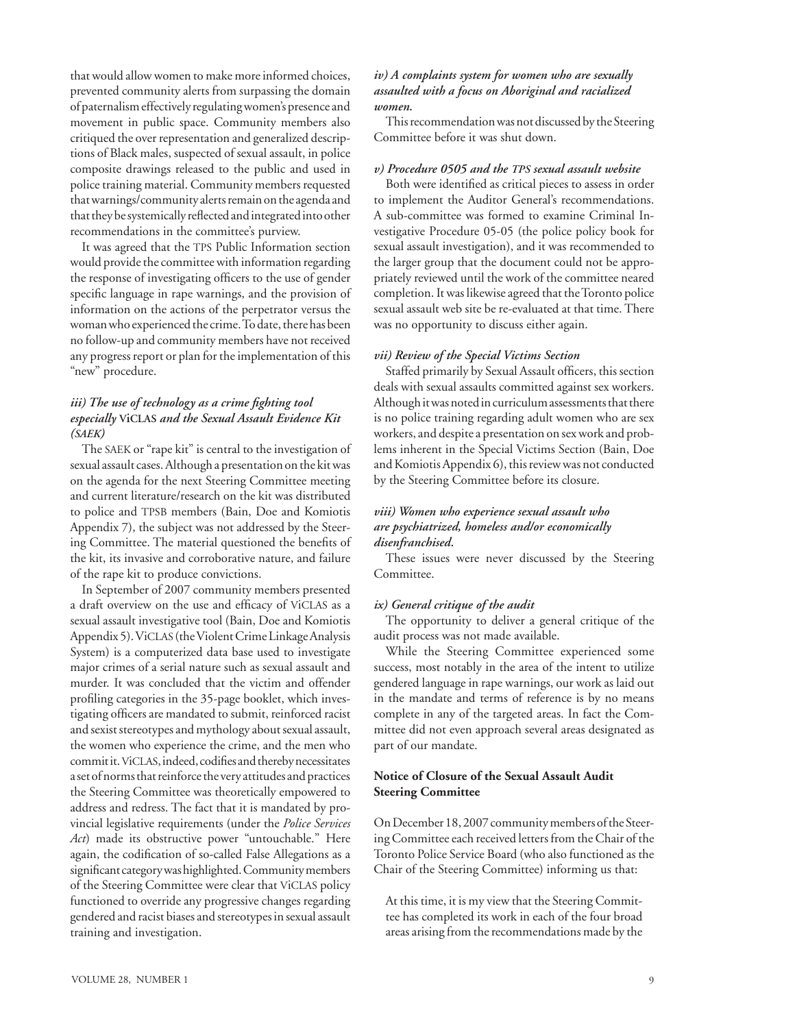that would allow women to make more informed choices, prevented community alerts from surpassing the domain of paternalism effectively regulating women's presence and movement in public space. Community members also critiqued the over representation and generalized descriptions of Black males, suspected of sexual assault, in police composite drawings released to the public and used in police training material. Community members requested that warnings/community alerts remain on the agenda and that they be systemically reflected and integrated into other recommendations in the committee's purview.

It was agreed that the TPS Public Information section would provide the committee with information regarding the response of investigating officers to the use of gender specific language in rape warnings, and the provision of information on the actions of the perpetrator versus the woman who experienced the crime. To date, there has been no follow-up and community members have not received any progress report or plan for the implementation of this "new" procedure.

## *iii) The use of technology as a crime fighting tool especially* **viclas** *and the Sexual Assault Evidence Kit (saek)*

The SAEK or "rape kit" is central to the investigation of sexual assault cases. Although a presentation on the kit was on the agenda for the next Steering Committee meeting and current literature/research on the kit was distributed to police and TPSB members (Bain, Doe and Komiotis Appendix 7), the subject was not addressed by the Steering Committee. The material questioned the benefits of the kit, its invasive and corroborative nature, and failure of the rape kit to produce convictions.

In September of 2007 community members presented a draft overview on the use and efficacy of viclas as a sexual assault investigative tool (Bain, Doe and Komiotis Appendix 5). Viclas (the Violent Crime Linkage Analysis System) is a computerized data base used to investigate major crimes of a serial nature such as sexual assault and murder. It was concluded that the victim and offender profiling categories in the 35-page booklet, which investigating officers are mandated to submit, reinforced racist and sexist stereotypes and mythology about sexual assault, the women who experience the crime, and the men who commit it. viclas, indeed, codifies and thereby necessitates a set of norms that reinforce the very attitudes and practices the Steering Committee was theoretically empowered to address and redress. The fact that it is mandated by provincial legislative requirements (under the *Police Services Act*) made its obstructive power "untouchable." Here again, the codification of so-called False Allegations as a significant category was highlighted. Community members of the Steering Committee were clear that viclas policy functioned to override any progressive changes regarding gendered and racist biases and stereotypes in sexual assault training and investigation.

#### *iv) A complaints system for women who are sexually assaulted with a focus on Aboriginal and racialized women.*

This recommendation was not discussed by the Steering Committee before it was shut down.

#### *v*) Procedure 0505 and the TPS sexual assault website

Both were identified as critical pieces to assess in order to implement the Auditor General's recommendations. A sub-committee was formed to examine Criminal Investigative Procedure 05-05 (the police policy book for sexual assault investigation), and it was recommended to the larger group that the document could not be appropriately reviewed until the work of the committee neared completion. It was likewise agreed that the Toronto police sexual assault web site be re-evaluated at that time. There was no opportunity to discuss either again.

#### *vii) Review of the Special Victims Section*

Staffed primarily by Sexual Assault officers, this section deals with sexual assaults committed against sex workers. Although it was noted in curriculum assessments that there is no police training regarding adult women who are sex workers, and despite a presentation on sex work and problems inherent in the Special Victims Section (Bain, Doe and Komiotis Appendix 6), this review was not conducted by the Steering Committee before its closure.

## *viii) Women who experience sexual assault who are psychiatrized, homeless and/or economically disenfranchised***.**

These issues were never discussed by the Steering Committee.

#### *ix) General critique of the audit*

The opportunity to deliver a general critique of the audit process was not made available.

While the Steering Committee experienced some success, most notably in the area of the intent to utilize gendered language in rape warnings, our work as laid out in the mandate and terms of reference is by no means complete in any of the targeted areas. In fact the Committee did not even approach several areas designated as part of our mandate.

## **Notice of Closure of the Sexual Assault Audit Steering Committee**

On December 18, 2007 community members of the Steering Committee each received letters from the Chair of the Toronto Police Service Board (who also functioned as the Chair of the Steering Committee) informing us that:

At this time, it is my view that the Steering Committee has completed its work in each of the four broad areas arising from the recommendations made by the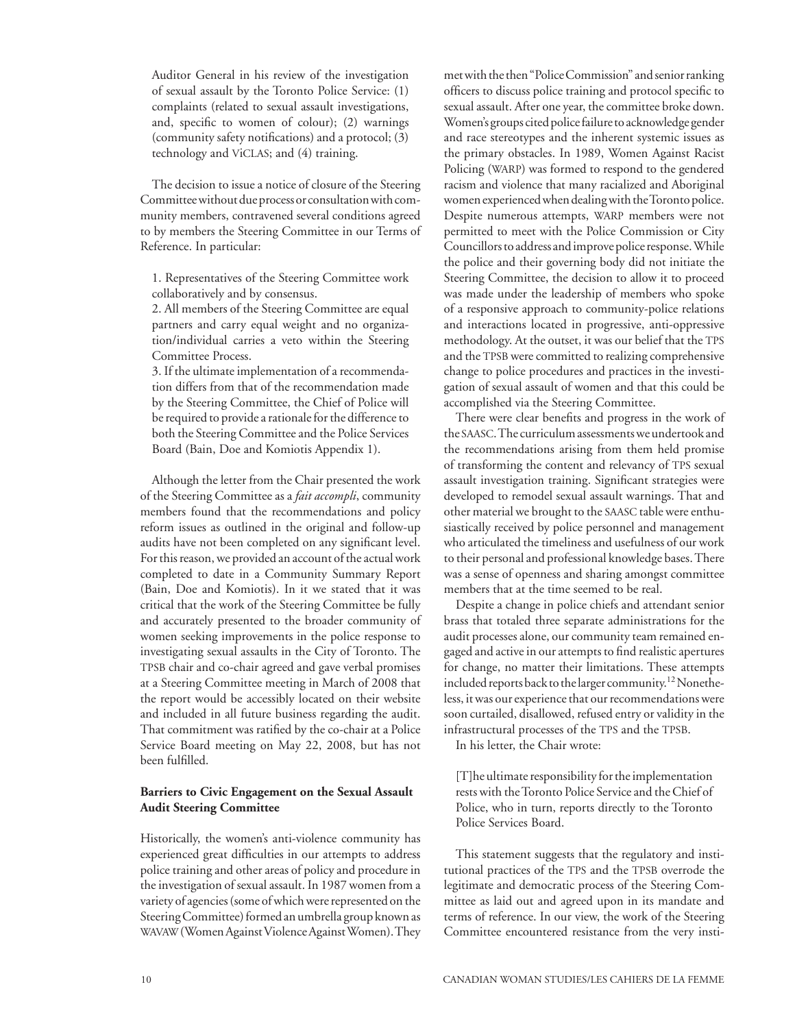Auditor General in his review of the investigation of sexual assault by the Toronto Police Service: (1) complaints (related to sexual assault investigations, and, specific to women of colour); (2) warnings (community safety notifications) and a protocol; (3) technology and viclas; and (4) training.

The decision to issue a notice of closure of the Steering Committee without due process or consultation with community members, contravened several conditions agreed to by members the Steering Committee in our Terms of Reference. In particular:

1. Representatives of the Steering Committee work collaboratively and by consensus.

2. All members of the Steering Committee are equal partners and carry equal weight and no organization/individual carries a veto within the Steering Committee Process.

3. If the ultimate implementation of a recommendation differs from that of the recommendation made by the Steering Committee, the Chief of Police will be required to provide a rationale for the difference to both the Steering Committee and the Police Services Board (Bain, Doe and Komiotis Appendix 1).

Although the letter from the Chair presented the work of the Steering Committee as a *fait accompli*, community members found that the recommendations and policy reform issues as outlined in the original and follow-up audits have not been completed on any significant level. For this reason, we provided an account of the actual work completed to date in a Community Summary Report (Bain, Doe and Komiotis). In it we stated that it was critical that the work of the Steering Committee be fully and accurately presented to the broader community of women seeking improvements in the police response to investigating sexual assaults in the City of Toronto. The TPSB chair and co-chair agreed and gave verbal promises at a Steering Committee meeting in March of 2008 that the report would be accessibly located on their website and included in all future business regarding the audit. That commitment was ratified by the co-chair at a Police Service Board meeting on May 22, 2008, but has not been fulfilled.

## **Barriers to Civic Engagement on the Sexual Assault Audit Steering Committee**

Historically, the women's anti-violence community has experienced great difficulties in our attempts to address police training and other areas of policy and procedure in the investigation of sexual assault. In 1987 women from a variety of agencies (some of which were represented on the Steering Committee) formed an umbrella group known as wavaw (Women Against Violence Against Women). They

met with the then "Police Commission" and senior ranking officers to discuss police training and protocol specific to sexual assault. After one year, the committee broke down. Women's groups cited police failure to acknowledge gender and race stereotypes and the inherent systemic issues as the primary obstacles. In 1989, Women Against Racist Policing (WARP) was formed to respond to the gendered racism and violence that many racialized and Aboriginal women experienced when dealing with the Toronto police. Despite numerous attempts, WARP members were not permitted to meet with the Police Commission or City Councillors to address and improve police response. While the police and their governing body did not initiate the Steering Committee, the decision to allow it to proceed was made under the leadership of members who spoke of a responsive approach to community-police relations and interactions located in progressive, anti-oppressive methodology. At the outset, it was our belief that the TPS and the TPSB were committed to realizing comprehensive change to police procedures and practices in the investigation of sexual assault of women and that this could be accomplished via the Steering Committee.

There were clear benefits and progress in the work of the saasc. The curriculum assessments we undertook and the recommendations arising from them held promise of transforming the content and relevancy of TPS sexual assault investigation training. Significant strategies were developed to remodel sexual assault warnings. That and other material we brought to the saasc table were enthusiastically received by police personnel and management who articulated the timeliness and usefulness of our work to their personal and professional knowledge bases. There was a sense of openness and sharing amongst committee members that at the time seemed to be real.

Despite a change in police chiefs and attendant senior brass that totaled three separate administrations for the audit processes alone, our community team remained engaged and active in our attempts to find realistic apertures for change, no matter their limitations. These attempts included reports back to the larger community.12 Nonetheless, it was our experience that our recommendations were soon curtailed, disallowed, refused entry or validity in the infrastructural processes of the TPS and the TPSB.

In his letter, the Chair wrote:

[T]he ultimate responsibility for the implementation rests with the Toronto Police Service and the Chief of Police, who in turn, reports directly to the Toronto Police Services Board.

This statement suggests that the regulatory and institutional practices of the TPS and the TPSB overrode the legitimate and democratic process of the Steering Committee as laid out and agreed upon in its mandate and terms of reference. In our view, the work of the Steering Committee encountered resistance from the very insti-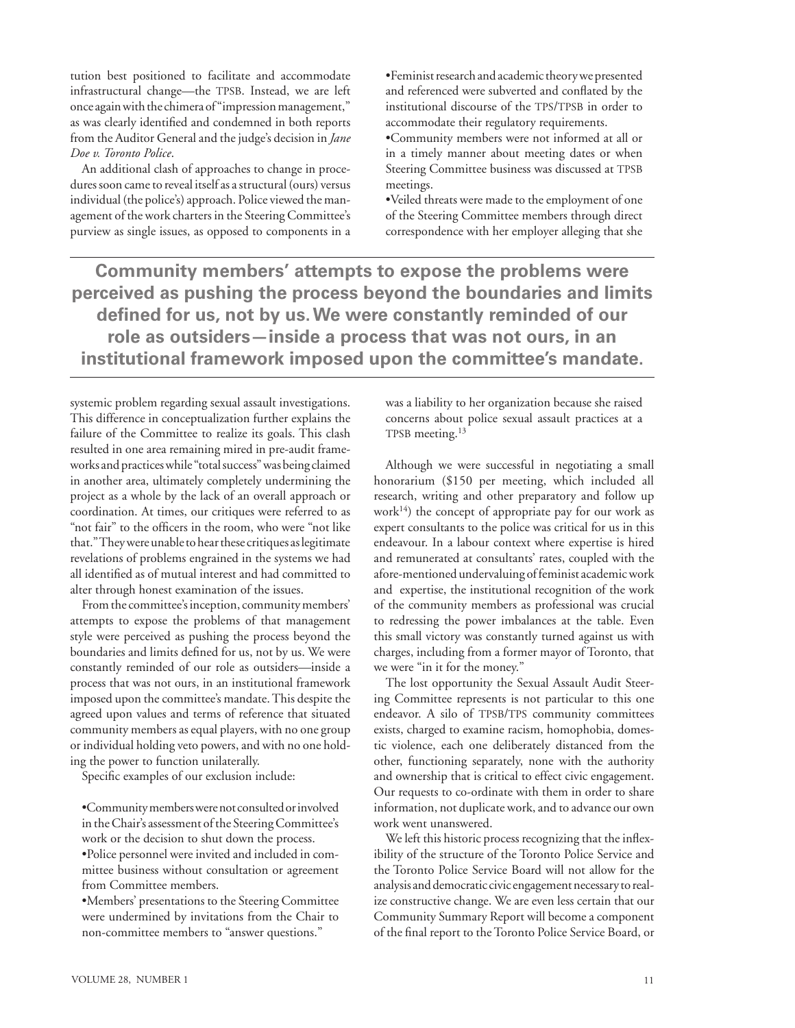tution best positioned to facilitate and accommodate infrastructural change—the TPSB. Instead, we are left once again with the chimera of "impression management," as was clearly identified and condemned in both reports from the Auditor General and the judge's decision in *Jane Doe v. Toronto Police*.

An additional clash of approaches to change in procedures soon came to reveal itself as a structural (ours) versus individual (the police's) approach. Police viewed the management of the work charters in the Steering Committee's purview as single issues, as opposed to components in a

•Feminist research and academic theory we presented and referenced were subverted and conflated by the institutional discourse of the TPS/TPSB in order to accommodate their regulatory requirements.

•Community members were not informed at all or in a timely manner about meeting dates or when Steering Committee business was discussed at TPSB meetings.

•Veiled threats were made to the employment of one of the Steering Committee members through direct correspondence with her employer alleging that she

**Community members' attempts to expose the problems were perceived as pushing the process beyond the boundaries and limits defined for us, not by us. We were constantly reminded of our role as outsiders—inside a process that was not ours, in an institutional framework imposed upon the committee's mandate.** 

systemic problem regarding sexual assault investigations. This difference in conceptualization further explains the failure of the Committee to realize its goals. This clash resulted in one area remaining mired in pre-audit frameworks and practices while "total success" was being claimed in another area, ultimately completely undermining the project as a whole by the lack of an overall approach or coordination. At times, our critiques were referred to as "not fair" to the officers in the room, who were "not like that." They were unable to hear these critiques as legitimate revelations of problems engrained in the systems we had all identified as of mutual interest and had committed to alter through honest examination of the issues.

From the committee's inception, community members' attempts to expose the problems of that management style were perceived as pushing the process beyond the boundaries and limits defined for us, not by us. We were constantly reminded of our role as outsiders—inside a process that was not ours, in an institutional framework imposed upon the committee's mandate. This despite the agreed upon values and terms of reference that situated community members as equal players, with no one group or individual holding veto powers, and with no one holding the power to function unilaterally.

Specific examples of our exclusion include:

•Community members were not consulted or involved in the Chair's assessment of the Steering Committee's work or the decision to shut down the process.

•Police personnel were invited and included in committee business without consultation or agreement from Committee members.

•Members' presentations to the Steering Committee were undermined by invitations from the Chair to non-committee members to "answer questions."

was a liability to her organization because she raised concerns about police sexual assault practices at a TPSB meeting.<sup>13</sup>

Although we were successful in negotiating a small honorarium (\$150 per meeting, which included all research, writing and other preparatory and follow up  $work<sup>14</sup>$ ) the concept of appropriate pay for our work as expert consultants to the police was critical for us in this endeavour. In a labour context where expertise is hired and remunerated at consultants' rates, coupled with the afore-mentioned undervaluing of feminist academic work and expertise, the institutional recognition of the work of the community members as professional was crucial to redressing the power imbalances at the table. Even this small victory was constantly turned against us with charges, including from a former mayor of Toronto, that we were "in it for the money."

The lost opportunity the Sexual Assault Audit Steering Committee represents is not particular to this one endeavor. A silo of TPSB/TPS community committees exists, charged to examine racism, homophobia, domestic violence, each one deliberately distanced from the other, functioning separately, none with the authority and ownership that is critical to effect civic engagement. Our requests to co-ordinate with them in order to share information, not duplicate work, and to advance our own work went unanswered.

We left this historic process recognizing that the inflexibility of the structure of the Toronto Police Service and the Toronto Police Service Board will not allow for the analysis and democratic civic engagement necessary to realize constructive change. We are even less certain that our Community Summary Report will become a component of the final report to the Toronto Police Service Board, or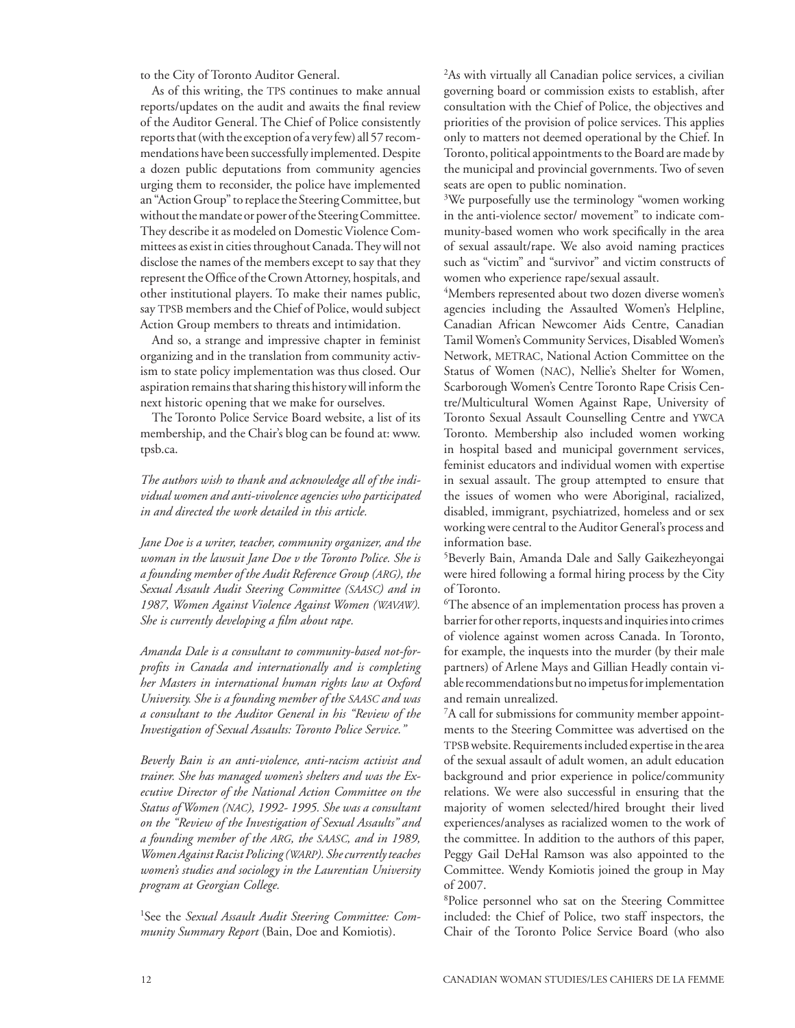to the City of Toronto Auditor General.

As of this writing, the TPS continues to make annual reports/updates on the audit and awaits the final review of the Auditor General. The Chief of Police consistently reports that (with the exception of a very few) all 57 recommendations have been successfully implemented. Despite a dozen public deputations from community agencies urging them to reconsider, the police have implemented an "Action Group" to replace the Steering Committee, but without the mandate or power of the Steering Committee. They describe it as modeled on Domestic Violence Committees as exist in cities throughout Canada. They will not disclose the names of the members except to say that they represent the Office of the Crown Attorney, hospitals, and other institutional players. To make their names public, say TPSB members and the Chief of Police, would subject Action Group members to threats and intimidation.

And so, a strange and impressive chapter in feminist organizing and in the translation from community activism to state policy implementation was thus closed. Our aspiration remains that sharing this history will inform the next historic opening that we make for ourselves.

The Toronto Police Service Board website, a list of its membership, and the Chair's blog can be found at: www. tpsb.ca.

*The authors wish to thank and acknowledge all of the individual women and anti-vivolence agencies who participated in and directed the work detailed in this article.*

*Jane Doe is a writer, teacher, community organizer, and the woman in the lawsuit Jane Doe v the Toronto Police. She is a founding member of the Audit Reference Group (arg), the Sexual Assault Audit Steering Committee (saasc) and in 1987, Women Against Violence Against Women (wavaw). She is currently developing a film about rape.*

*Amanda Dale is a consultant to community-based not-forprofits in Canada and internationally and is completing her Masters in international human rights law at Oxford University. She is a founding member of the saasc and was a consultant to the Auditor General in his "Review of the Investigation of Sexual Assaults: Toronto Police Service."*

*Beverly Bain is an anti-violence, anti-racism activist and trainer. She has managed women's shelters and was the Executive Director of the National Action Committee on the Status of Women (nac), 1992- 1995. She was a consultant on the "Review of the Investigation of Sexual Assaults" and a founding member of the arg, the saasc, and in 1989, WomenAgainstRacistPolicing(warp). Shecurrentlyteaches women's studies and sociology in the Laurentian University program at Georgian College.*

1 See the *Sexual Assault Audit Steering Committee: Community Summary Report* (Bain, Doe and Komiotis).

2 As with virtually all Canadian police services, a civilian governing board or commission exists to establish, after consultation with the Chief of Police, the objectives and priorities of the provision of police services. This applies only to matters not deemed operational by the Chief. In Toronto, political appointments to the Board are made by the municipal and provincial governments. Two of seven seats are open to public nomination.

<sup>3</sup>We purposefully use the terminology "women working in the anti-violence sector/ movement" to indicate community-based women who work specifically in the area of sexual assault/rape. We also avoid naming practices such as "victim" and "survivor" and victim constructs of women who experience rape/sexual assault.

4 Members represented about two dozen diverse women's agencies including the Assaulted Women's Helpline, Canadian African Newcomer Aids Centre, Canadian Tamil Women's Community Services, Disabled Women's Network, METRAC, National Action Committee on the Status of Women (nac), Nellie's Shelter for Women, Scarborough Women's Centre Toronto Rape Crisis Centre/Multicultural Women Against Rape, University of Toronto Sexual Assault Counselling Centre and ywca Toronto. Membership also included women working in hospital based and municipal government services, feminist educators and individual women with expertise in sexual assault. The group attempted to ensure that the issues of women who were Aboriginal, racialized, disabled, immigrant, psychiatrized, homeless and or sex working were central to the Auditor General's process and information base.

5 Beverly Bain, Amanda Dale and Sally Gaikezheyongai were hired following a formal hiring process by the City of Toronto.

6 The absence of an implementation process has proven a barrier for other reports, inquests and inquiries into crimes of violence against women across Canada. In Toronto, for example, the inquests into the murder (by their male partners) of Arlene Mays and Gillian Headly contain viable recommendations but no impetus for implementation and remain unrealized.

7 A call for submissions for community member appointments to the Steering Committee was advertised on the tpsb website. Requirements included expertise in the area of the sexual assault of adult women, an adult education background and prior experience in police/community relations. We were also successful in ensuring that the majority of women selected/hired brought their lived experiences/analyses as racialized women to the work of the committee. In addition to the authors of this paper, Peggy Gail DeHal Ramson was also appointed to the Committee. Wendy Komiotis joined the group in May of 2007.

8 Police personnel who sat on the Steering Committee included: the Chief of Police, two staff inspectors, the Chair of the Toronto Police Service Board (who also